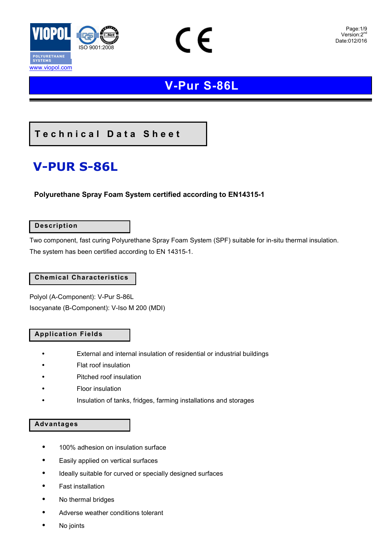

### Page:1/9<br>Version:2<sup>nd</sup> Date:012/016

### **V-Pur S-86L**

 $\epsilon$ 

### **Technical Data Sheet**

# **V-PUR S-86L**

### **Polyurethane Spray Foam System certified according to EN14315-1**

### **Description**

Two component, fast curing Polyurethane Spray Foam System (SPF) suitable for in-situ thermal insulation. The system has been certified according to EN 14315-1.

### **Chemical Characteristics**

Polyol (Α-Component): V-Pur S-86L Isocyanate (Β-Component): V-Iso M 200 (MDI)

### **Application Fields**

- External and internal insulation of residential or industrial buildings
- Flat roof insulation
- Pitched roof insulation
- Floor insulation
- Insulation of tanks, fridges, farming installations and storages

#### **Advantages**

- 100% adhesion on insulation surface
- Easily applied on vertical surfaces
- Ideally suitable for curved or specially designed surfaces
- Fast installation
- No thermal bridges
- Adverse weather conditions tolerant
- No joints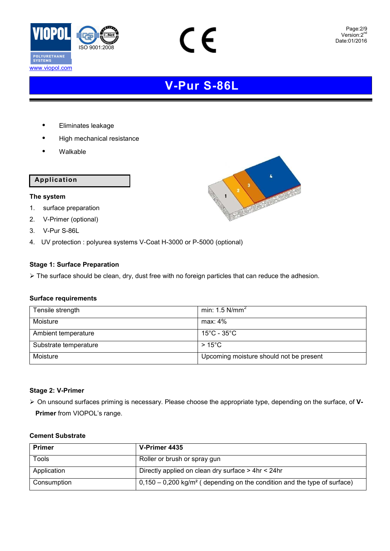

C  $\epsilon$ 

- Eliminates leakage
- High mechanical resistance
- Walkable

### **Application**

### **The system**

- 1. surface preparation
- 2. V-Primer (optional)
- 3. V-Pur S-86L
- 4. UV protection : polyurea systems V-Coat H-3000 or P-5000 (optional)

### **Stage 1: Surface Preparation**

> The surface should be clean, dry, dust free with no foreign particles that can reduce the adhesion.

### **Surface requirements**

| Tensile strength      | min: 1.5 $N/mm2$                        |
|-----------------------|-----------------------------------------|
| Moisture              | max: $4\%$                              |
| Ambient temperature   | 15°C - 35°C $\,$                        |
| Substrate temperature | $>15^{\circ}$ C                         |
| Moisture              | Upcoming moisture should not be present |

### **Stage 2: V-Primer**

 On unsound surfaces priming is necessary. Please choose the appropriate type, depending on the surface, of **V-Primer** from VIOPOL's range.

#### **Cement Substrate**

| <b>Primer</b> | V-Primer 4435                                                                          |  |
|---------------|----------------------------------------------------------------------------------------|--|
| Tools         | Roller or brush or spray gun                                                           |  |
| Application   | Directly applied on clean dry surface > 4hr < 24hr                                     |  |
| Consumption   | $0,150 - 0,200$ kg/m <sup>2</sup> (depending on the condition and the type of surface) |  |

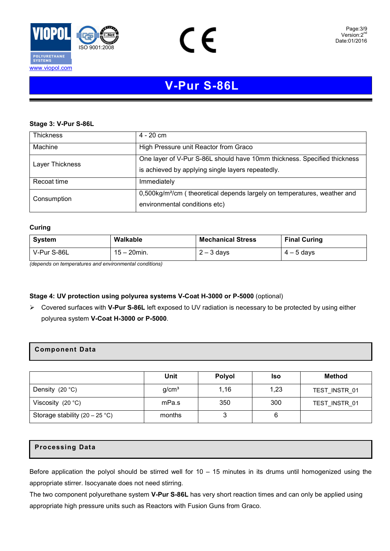



#### **Stage 3: V-Pur S-86L**

| <b>Thickness</b> | $4 - 20$ cm                                                                          |  |  |
|------------------|--------------------------------------------------------------------------------------|--|--|
| Machine          | High Pressure unit Reactor from Graco                                                |  |  |
| Layer Thickness  | One layer of V-Pur S-86L should have 10mm thickness. Specified thickness             |  |  |
|                  | is achieved by applying single layers repeatedly.                                    |  |  |
| Recoat time      | Immediately                                                                          |  |  |
| Consumption      | 0,500kg/m <sup>2</sup> /cm (theoretical depends largely on temperatures, weather and |  |  |
|                  | environmental conditions etc)                                                        |  |  |

#### **Curing**

| System      | Walkable       | <b>Mechanical Stress</b> | <b>Final Curing</b> |
|-------------|----------------|--------------------------|---------------------|
| V-Pur S-86L | $15 - 20$ min. | $2 - 3$ days             | $4 - 5$ days        |

*(depends on temperatures and environmental conditions)*

### **Stage 4: UV protection using polyurea systems V-Coat H-3000 or P-5000** (optional)

 Covered surfaces with **V-Pur S-86L** left exposed to UV radiation is necessary to be protected by using either polyurea system **V-Coat H-3000 or P-5000**.

### **Component Data**

|                                         | Unit              | <b>Polyol</b> | <b>Iso</b> | <b>Method</b> |
|-----------------------------------------|-------------------|---------------|------------|---------------|
| Density $(20 °C)$                       | g/cm <sup>3</sup> | 1,16          | 1,23       | TEST INSTR 01 |
| Viscosity $(20 °C)$                     | mPa.s             | 350           | 300        | TEST INSTR 01 |
| Storage stability $(20 - 25 \degree C)$ | months            |               | 6          |               |

### **Processing Data**

Before application the polyol should be stirred well for 10 – 15 minutes in its drums until homogenized using the appropriate stirrer. Isocyanate does not need stirring.

The two component polyurethane system **V-Pur S-86L** has very short reaction times and can only be applied using appropriate high pressure units such as Reactors with Fusion Guns from Graco.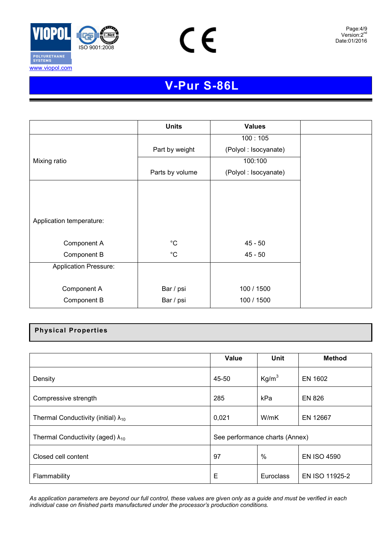

www.viopol.com



Page:4/9<br>Version:2<sup>nd</sup> Date:6/2009 Date:01/2016

## **V-Pur S-86L**

|                              | <b>Units</b>    | <b>Values</b>        |  |
|------------------------------|-----------------|----------------------|--|
|                              |                 | 100:105              |  |
|                              | Part by weight  | (Polyol: Isocyanate) |  |
| Mixing ratio                 |                 | 100:100              |  |
|                              | Parts by volume | (Polyol: Isocyanate) |  |
|                              |                 |                      |  |
|                              |                 |                      |  |
|                              |                 |                      |  |
| Application temperature:     |                 |                      |  |
|                              |                 |                      |  |
| Component A                  | $^{\circ}$ C    | $45 - 50$            |  |
| Component B                  | $^{\circ}$ C    | $45 - 50$            |  |
| <b>Application Pressure:</b> |                 |                      |  |
|                              |                 |                      |  |
| Component A                  | Bar / psi       | 100 / 1500           |  |
| Component B                  | Bar / psi       | 100 / 1500           |  |

### **Physical Properties**

|                                               | <b>Value</b>                   | Unit              | <b>Method</b>      |
|-----------------------------------------------|--------------------------------|-------------------|--------------------|
| Density                                       | 45-50                          | Kg/m <sup>3</sup> | EN 1602            |
| Compressive strength                          | 285                            | kPa               | <b>EN 826</b>      |
| Thermal Conductivity (initial) $\lambda_{10}$ | 0,021                          | W/mK              | EN 12667           |
| Thermal Conductivity (aged) $\lambda_{10}$    | See performance charts (Annex) |                   |                    |
| Closed cell content                           | 97                             | $\%$              | <b>EN ISO 4590</b> |
| Flammability                                  | Е                              | Euroclass         | EN ISO 11925-2     |

*As application parameters are beyond our full control, these values are given only as a guide and must be verified in each individual case on finished parts manufactured under the processor's production conditions.*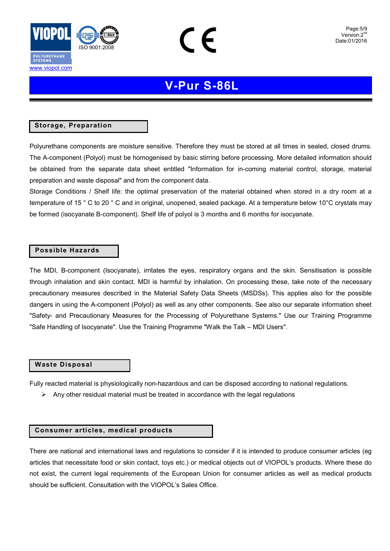

www.viopol.com

### **V-Pur S-86L**

### **Storage, Preparation**

Polyurethane components are moisture sensitive. Therefore they must be stored at all times in sealed, closed drums. The A-component (Polyol) must be homogenised by basic stirring before processing. More detailed information should be obtained from the separate data sheet entitled "Information for in-coming material control, storage, material preparation and waste disposal" and from the component data.

Storage Conditions / Shelf life: the optimal preservation of the material obtained when stored in a dry room at a temperature of 15 ° C to 20 ° C and in original, unopened, sealed package. At a temperature below 10°C crystals may be formed (isocyanate B-component). Shelf life of polyol is 3 months and 6 months for isocyanate.

### **Possible Hazards**

The MDI, B-component (Isocyanate), irritates the eyes, respiratory organs and the skin. Sensitisation is possible through inhalation and skin contact. MDI is harmful by inhalation. On processing these, take note of the necessary precautionary measures described in the Material Safety Data Sheets (MSDSs). This applies also for the possible dangers in using the A-component (Polyol) as well as any other components. See also our separate information sheet "Safety- and Precautionary Measures for the Processing of Polyurethane Systems." Use our Training Programme "Safe Handling of Isocyanate". Use the Training Programme "Walk the Talk – MDI Users".

#### **Waste Disposal**

Fully reacted material is physiologically non-hazardous and can be disposed according to national regulations.

 $\triangleright$  Any other residual material must be treated in accordance with the legal regulations

#### **Consumer articles, medical products**

There are national and international laws and regulations to consider if it is intended to produce consumer articles (eg articles that necessitate food or skin contact, toys etc.) or medical objects out of VIOPOL's products. Where these do not exist, the current legal requirements of the European Union for consumer articles as well as medical products should be sufficient. Consultation with the VIOPOL's Sales Office.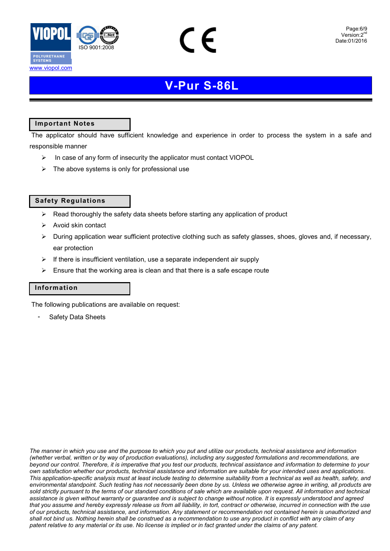



### **Important Notes**

www.viopol.com

 The applicator should have sufficient knowledge and experience in order to process the system in a safe and responsible manner

- $\triangleright$  In case of any form of insecurity the applicator must contact VIOPOL
- $\triangleright$  The above systems is only for professional use

### **Safety Regulations**

- $\triangleright$  Read thoroughly the safety data sheets before starting any application of product
- $\triangleright$  Avoid skin contact
- $\triangleright$  During application wear sufficient protective clothing such as safety glasses, shoes, gloves and, if necessary, ear protection
- $\triangleright$  If there is insufficient ventilation, use a separate independent air supply
- $\triangleright$  Ensure that the working area is clean and that there is a safe escape route

### **Information**

The following publications are available on request:

Safety Data Sheets

*The manner in which you use and the purpose to which you put and utilize our products, technical assistance and information (whether verbal, written or by way of production evaluations), including any suggested formulations and recommendations, are beyond our control. Therefore, it is imperative that you test our products, technical assistance and information to determine to your own satisfaction whether our products, technical assistance and information are suitable for your intended uses and applications. This application-specific analysis must at least include testing to determine suitability from a technical as well as health, safety, and environmental standpoint. Such testing has not necessarily been done by us. Unless we otherwise agree in writing, all products are sold strictly pursuant to the terms of our standard conditions of sale which are available upon request. All information and technical assistance is given without warranty or guarantee and is subject to change without notice. It is expressly understood and agreed that you assume and hereby expressly release us from all liability, in tort, contract or otherwise, incurred in connection with the use of our products, technical assistance, and information. Any statement or recommendation not contained herein is unauthorized and shall not bind us. Nothing herein shall be construed as a recommendation to use any product in conflict with any claim of any patent relative to any material or its use. No license is implied or in fact granted under the claims of any patent.*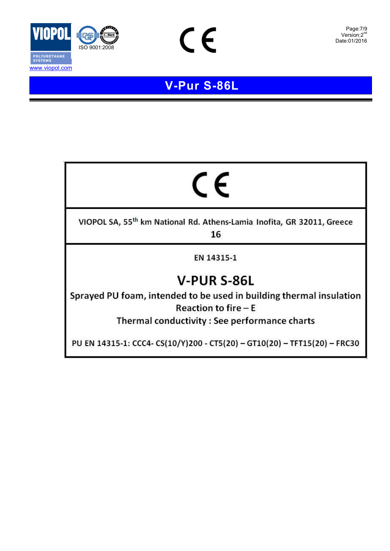

www.viopol.com



### **V - Pur S - 8 6 L**

 $C\in$ 

# CE

VIOPOL SA, 55<sup>th</sup> km National Rd. Athens-Lamia Inofita, GR 32011, Greece

16

EN 14315-1

# V-PUR S-86L

Sprayed PU foam, intended to be used in building thermal insulation **Reaction to fire**  $-E$ 

Thermal conductivity : See performance charts

PU EN 14315-1: CCC4- CS(10/Y)200 - CT5(20) - GT10(20) - TFT15(20) - FRC30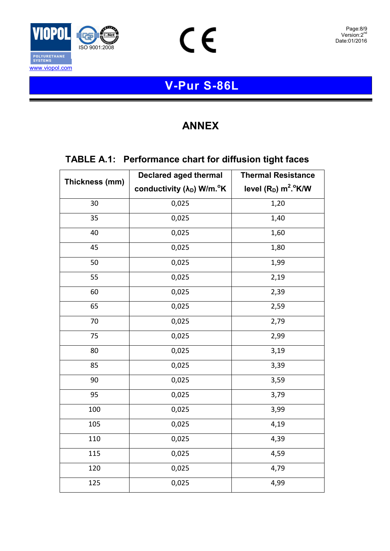



 $C \in$ 

### **ANNEX**

### **TABLE A.1: Performance chart for diffusion tight faces**

|                | <b>Declared aged thermal</b>                       | <b>Thermal Resistance</b><br>level $(R_D)$ m <sup>2</sup> .°K/W |  |
|----------------|----------------------------------------------------|-----------------------------------------------------------------|--|
| Thickness (mm) | conductivity (λ <sub>D</sub> ) W/m. <sup>o</sup> K |                                                                 |  |
| 30             | 0,025                                              | 1,20                                                            |  |
| 35             | 0,025                                              | 1,40                                                            |  |
| 40             | 0,025                                              | 1,60                                                            |  |
| 45             | 0,025                                              | 1,80                                                            |  |
| 50             | 0,025                                              | 1,99                                                            |  |
| 55             | 0,025                                              | 2,19                                                            |  |
| 60             | 0,025                                              | 2,39                                                            |  |
| 65             | 0,025                                              | 2,59                                                            |  |
| 70             | 0,025                                              | 2,79                                                            |  |
| 75             | 0,025                                              | 2,99                                                            |  |
| 80             | 0,025                                              | 3,19                                                            |  |
| 85             | 0,025                                              | 3,39                                                            |  |
| 90             | 0,025                                              | 3,59                                                            |  |
| 95             | 0,025                                              | 3,79                                                            |  |
| 100            | 0,025                                              | 3,99                                                            |  |
| 105            | 0,025                                              | 4,19                                                            |  |
| 110            | 0,025                                              | 4,39                                                            |  |
| 115            | 0,025                                              | 4,59                                                            |  |
| 120            | 0,025                                              | 4,79                                                            |  |
| 125            | 0,025                                              | 4,99                                                            |  |